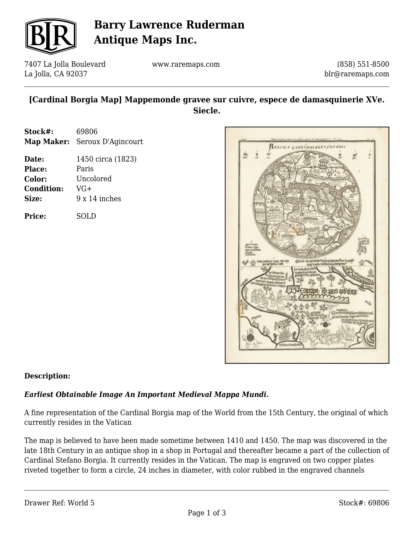

# **Barry Lawrence Ruderman Antique Maps Inc.**

7407 La Jolla Boulevard La Jolla, CA 92037

www.raremaps.com

(858) 551-8500 blr@raremaps.com

### **[Cardinal Borgia Map] Mappemonde gravee sur cuivre, espece de damasquinerie XVe. Siecle.**

| Stock#: | 69806                         |
|---------|-------------------------------|
|         | Map Maker: Seroux D'Agincourt |
|         |                               |
| Date:   | 1450 circa (1823)             |
| Place:  | Paris                         |
| Color:  | Uncolored                     |
|         |                               |

**Condition:** VG+ **Size:** 9 x 14 inches

**Price:** SOLD



#### **Description:**

#### *Earliest Obtainable Image An Important Medieval Mappa Mundi.*

A fine representation of the Cardinal Borgia map of the World from the 15th Century, the original of which currently resides in the Vatican

The map is believed to have been made sometime between 1410 and 1450. The map was discovered in the late 18th Century in an antique shop in a shop in Portugal and thereafter became a part of the collection of Cardinal Stefano Borgia. It currently resides in the Vatican. The map is engraved on two copper plates riveted together to form a circle, 24 inches in diameter, with color rubbed in the engraved channels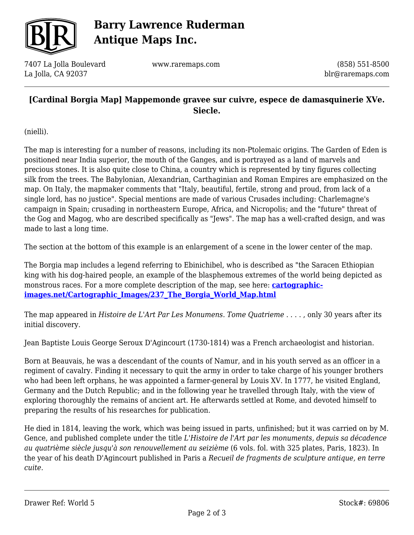

# **Barry Lawrence Ruderman Antique Maps Inc.**

7407 La Jolla Boulevard La Jolla, CA 92037

www.raremaps.com

(858) 551-8500 blr@raremaps.com

### **[Cardinal Borgia Map] Mappemonde gravee sur cuivre, espece de damasquinerie XVe. Siecle.**

(nielli).

The map is interesting for a number of reasons, including its non-Ptolemaic origins. The Garden of Eden is positioned near India superior, the mouth of the Ganges, and is portrayed as a land of marvels and precious stones. It is also quite close to China, a country which is represented by tiny figures collecting silk from the trees. The Babylonian, Alexandrian, Carthaginian and Roman Empires are emphasized on the map. On Italy, the mapmaker comments that "Italy, beautiful, fertile, strong and proud, from lack of a single lord, has no justice". Special mentions are made of various Crusades including: Charlemagne's campaign in Spain; crusading in northeastern Europe, Africa, and Nicropolis; and the "future" threat of the Gog and Magog, who are described specifically as "Jews". The map has a well-crafted design, and was made to last a long time.

The section at the bottom of this example is an enlargement of a scene in the lower center of the map.

The Borgia map includes a legend referring to Ebinichibel, who is described as "the Saracen Ethiopian king with his dog-haired people, an example of the blasphemous extremes of the world being depicted as monstrous races. For a more complete description of the map, see here: **[cartographic](http://cartographic-images.net/Cartographic_Images/237_The_Borgia_World_Map.html)[images.net/Cartographic\\_Images/237\\_The\\_Borgia\\_World\\_Map.html](http://cartographic-images.net/Cartographic_Images/237_The_Borgia_World_Map.html)**

The map appeared in *Histoire de L'Art Par Les Monumens. Tome Quatrieme* . . . . , only 30 years after its initial discovery.

Jean Baptiste Louis George Seroux D'Agincourt (1730-1814) was a French archaeologist and historian.

Born at Beauvais, he was a descendant of the counts of Namur, and in his youth served as an officer in a regiment of cavalry. Finding it necessary to quit the army in order to take charge of his younger brothers who had been left orphans, he was appointed a farmer-general by Louis XV. In 1777, he visited England, Germany and the Dutch Republic; and in the following year he travelled through Italy, with the view of exploring thoroughly the remains of ancient art. He afterwards settled at Rome, and devoted himself to preparing the results of his researches for publication.

He died in 1814, leaving the work, which was being issued in parts, unfinished; but it was carried on by M. Gence, and published complete under the title *L'Histoire de l'Art par les monuments, depuis sa décadence au quatrième siècle jusqu'à son renouvellement au seizième* (6 vols. fol. with 325 plates, Paris, 1823). In the year of his death D'Agincourt published in Paris a *Recueil de fragments de sculpture antique, en terre cuite.*